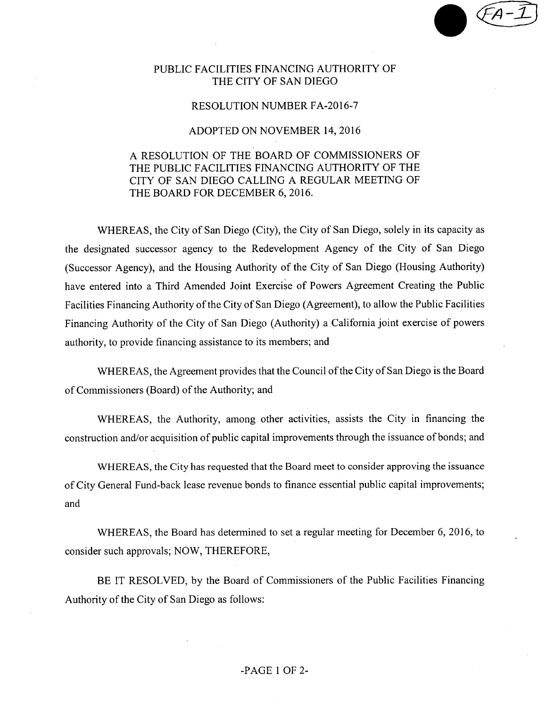## PUBLIC FACILITIES FINANCING AUTHORITY OF THE CITY OF SAN DIEGO

### RESOLUTION NUMBER FA-2016-7

#### ADOPTED ON NOVEMBER 14, 2016

# A RESOLUTION OF THE BOARD OF COMMISSIONERS OF THE PUBLIC FACILITIES FINANCING AUTHORITY OF THE CITY OF SAN DIEGO CALLING A REGULAR MEETING OF THE BOARD FOR DECEMBER 6, 2016.

WHEREAS, the City of San Diego (City), the City of San Diego, solely in its capacity as the designated successor agency to the Redevelopment Agency of the City of San Diego (Successor Agency), and the Housing Authority of the City of San Diego (Housing Authority) have entered into a Third Amended Joint Exercise of Powers Agreement Creating the Public Facilities Financing Authority of the City of San Diego (Agreement), to allow the Public Facilities Financing Authority of the City of San Diego (Authority) a California joint exercise of powers authority, to provide financing assistance to its members; and

WHEREAS, the Agreement provides that the Council of the City of San Diego is the Board of Commissioners (Board) of the Authority; and

WHEREAS, the Authority, among other activities, assists the City in financing the construction and/or acquisition of public capital improvements through the issuance of bonds; and

WHEREAS, the City has requested that the Board meet to consider approving the issuance ofCity General Fund-back lease revenue bonds to finance essential public capital improvements; and

WHEREAS, the Board has determined to set a regular meeting for December 6, 2016, to consider such approvals; NOW, THEREFORE,

BE IT RESOLVED, by the Board of Commissioners of the Public Facilities Financing Authority of the City of San Diego as follows:

## -PAGE <sup>1</sup> OF 2-